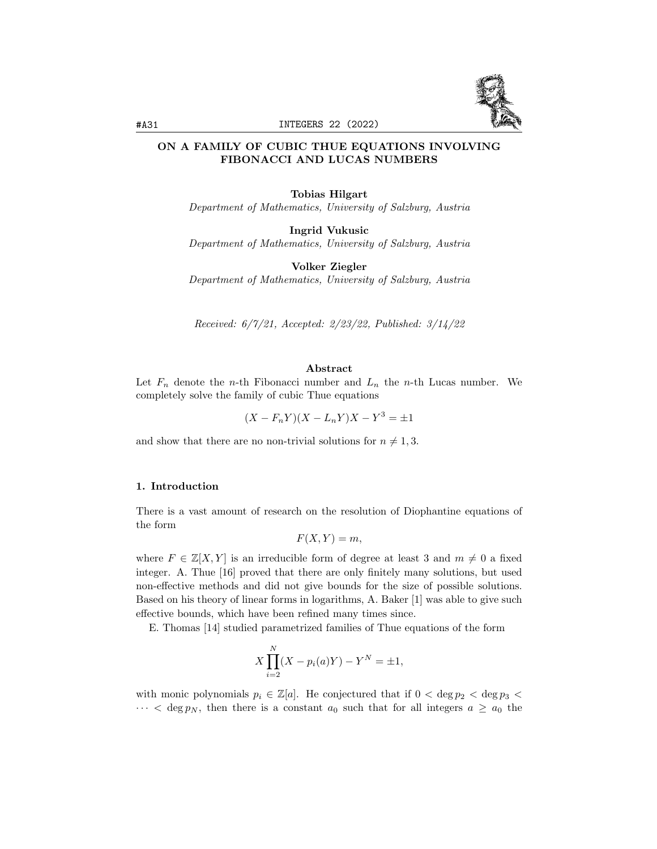

# ON A FAMILY OF CUBIC THUE EQUATIONS INVOLVING FIBONACCI AND LUCAS NUMBERS

### Tobias Hilgart

Department of Mathematics, University of Salzburg, Austria

Ingrid Vukusic Department of Mathematics, University of Salzburg, Austria

Volker Ziegler

Department of Mathematics, University of Salzburg, Austria

Received: 6/7/21, Accepted: 2/23/22, Published: 3/14/22

#### Abstract

Let  $F_n$  denote the *n*-th Fibonacci number and  $L_n$  the *n*-th Lucas number. We completely solve the family of cubic Thue equations

 $(X - F_n Y)(X - L_n Y)X - Y^3 = \pm 1$ 

and show that there are no non-trivial solutions for  $n \neq 1, 3$ .

#### 1. Introduction

There is a vast amount of research on the resolution of Diophantine equations of the form

$$
F(X,Y) = m,
$$

where  $F \in \mathbb{Z}[X, Y]$  is an irreducible form of degree at least 3 and  $m \neq 0$  a fixed integer. A. Thue [16] proved that there are only finitely many solutions, but used non-effective methods and did not give bounds for the size of possible solutions. Based on his theory of linear forms in logarithms, A. Baker [1] was able to give such effective bounds, which have been refined many times since.

E. Thomas [14] studied parametrized families of Thue equations of the form

$$
X\prod_{i=2}^{N} (X - p_i(a)Y) - Y^N = \pm 1,
$$

with monic polynomials  $p_i \in \mathbb{Z}[a]$ . He conjectured that if  $0 < \deg p_2 < \deg p_3 < \deg p_4$  $\cdots$  < deg  $p_N$ , then there is a constant  $a_0$  such that for all integers  $a \ge a_0$  the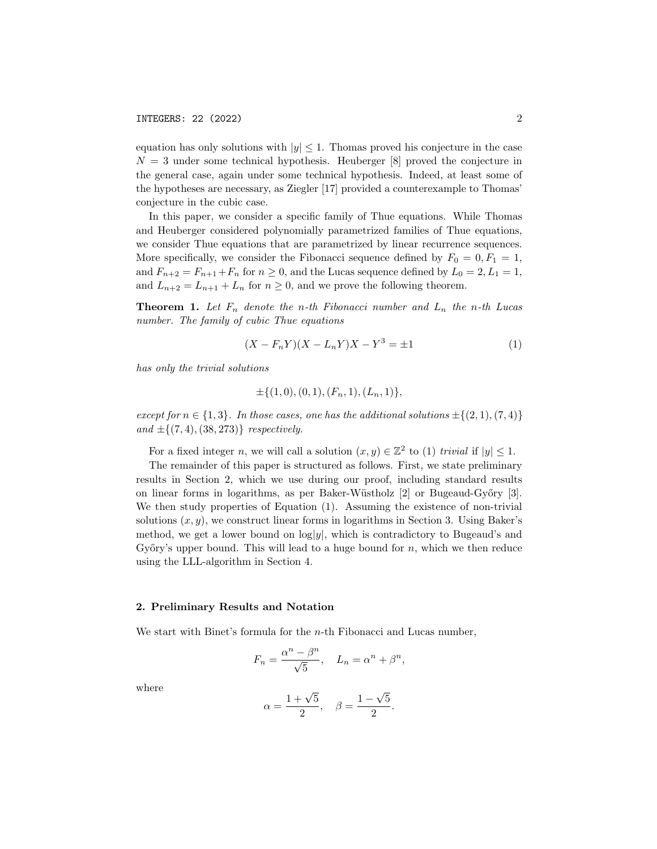equation has only solutions with  $|y| \leq 1$ . Thomas proved his conjecture in the case  $N = 3$  under some technical hypothesis. Heuberger [8] proved the conjecture in the general case, again under some technical hypothesis. Indeed, at least some of the hypotheses are necessary, as Ziegler [17] provided a counterexample to Thomas' conjecture in the cubic case.

In this paper, we consider a specific family of Thue equations. While Thomas and Heuberger considered polynomially parametrized families of Thue equations, we consider Thue equations that are parametrized by linear recurrence sequences. More specifically, we consider the Fibonacci sequence defined by  $F_0 = 0, F_1 = 1$ , and  $F_{n+2} = F_{n+1} + F_n$  for  $n \ge 0$ , and the Lucas sequence defined by  $L_0 = 2, L_1 = 1$ , and  $L_{n+2} = L_{n+1} + L_n$  for  $n \geq 0$ , and we prove the following theorem.

**Theorem 1.** Let  $F_n$  denote the n-th Fibonacci number and  $L_n$  the n-th Lucas number. The family of cubic Thue equations

$$
(X - F_n Y)(X - L_n Y)X - Y^3 = \pm 1
$$
\n(1)

has only the trivial solutions

$$
\pm \{(1,0), (0,1), (F_n,1), (L_n,1)\},\
$$

except for  $n \in \{1,3\}$ . In those cases, one has the additional solutions  $\pm \{(2,1),(7,4)\}$ and  $\pm \{(7, 4), (38, 273)\}$  respectively.

For a fixed integer n, we will call a solution  $(x, y) \in \mathbb{Z}^2$  to (1) trivial if  $|y| \leq 1$ .

The remainder of this paper is structured as follows. First, we state preliminary results in Section 2, which we use during our proof, including standard results on linear forms in logarithms, as per Baker-Wüstholz [2] or Bugeaud-Győry [3]. We then study properties of Equation (1). Assuming the existence of non-trivial solutions  $(x, y)$ , we construct linear forms in logarithms in Section 3. Using Baker's method, we get a lower bound on  $log|y|$ , which is contradictory to Bugeaud's and Győry's upper bound. This will lead to a huge bound for  $n$ , which we then reduce using the LLL-algorithm in Section 4.

### 2. Preliminary Results and Notation

We start with Binet's formula for the  $n$ -th Fibonacci and Lucas number,

$$
F_n = \frac{\alpha^n - \beta^n}{\sqrt{5}}, \quad L_n = \alpha^n + \beta^n,
$$

where

$$
\alpha = \frac{1+\sqrt{5}}{2}, \quad \beta = \frac{1-\sqrt{5}}{2}.
$$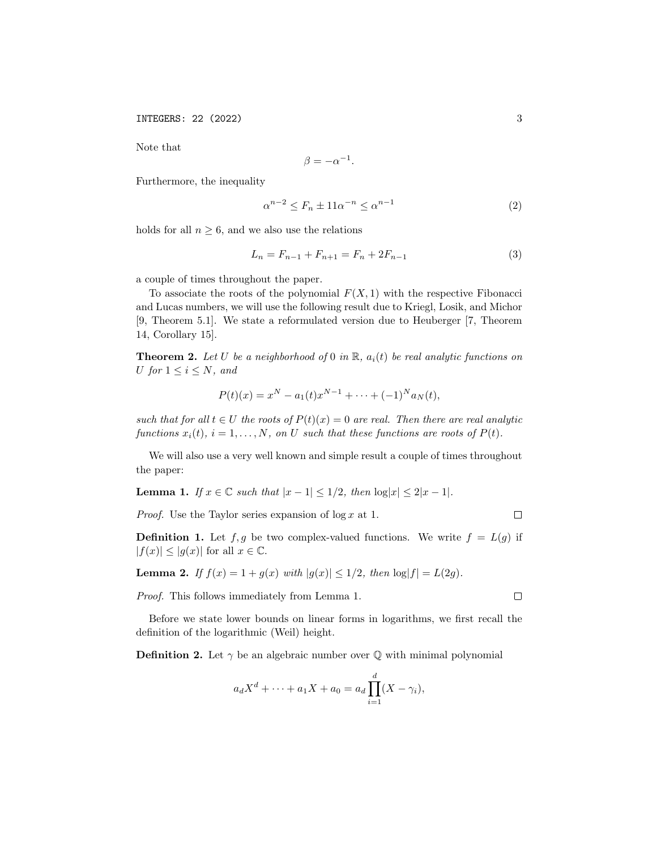Note that

$$
\beta = -\alpha^{-1}.
$$

Furthermore, the inequality

$$
\alpha^{n-2} \le F_n \pm 11\alpha^{-n} \le \alpha^{n-1} \tag{2}
$$

holds for all  $n \geq 6$ , and we also use the relations

$$
L_n = F_{n-1} + F_{n+1} = F_n + 2F_{n-1}
$$
\n<sup>(3)</sup>

a couple of times throughout the paper.

To associate the roots of the polynomial  $F(X, 1)$  with the respective Fibonacci and Lucas numbers, we will use the following result due to Kriegl, Losik, and Michor [9, Theorem 5.1]. We state a reformulated version due to Heuberger [7, Theorem 14, Corollary 15].

**Theorem 2.** Let U be a neighborhood of 0 in  $\mathbb{R}$ ,  $a_i(t)$  be real analytic functions on U for  $1 \leq i \leq N$ , and

$$
P(t)(x) = x^N - a_1(t)x^{N-1} + \dots + (-1)^N a_N(t),
$$

such that for all  $t \in U$  the roots of  $P(t)(x) = 0$  are real. Then there are real analytic functions  $x_i(t)$ ,  $i = 1, ..., N$ , on U such that these functions are roots of  $P(t)$ .

We will also use a very well known and simple result a couple of times throughout the paper:

Lemma 1. If  $x \in \mathbb{C}$  such that  $|x-1| \leq 1/2$ , then  $\log|x| \leq 2|x-1|$ .

*Proof.* Use the Taylor series expansion of  $\log x$  at 1.

**Definition 1.** Let  $f, g$  be two complex-valued functions. We write  $f = L(g)$  if  $|f(x)| \leq |g(x)|$  for all  $x \in \mathbb{C}$ .

**Lemma 2.** If  $f(x) = 1 + g(x)$  with  $|g(x)| \le 1/2$ , then  $\log|f| = L(2g)$ .

Proof. This follows immediately from Lemma 1.

Before we state lower bounds on linear forms in logarithms, we first recall the definition of the logarithmic (Weil) height.

**Definition 2.** Let  $\gamma$  be an algebraic number over  $\mathbb Q$  with minimal polynomial

$$
a_d X^d + \dots + a_1 X + a_0 = a_d \prod_{i=1}^d (X - \gamma_i),
$$

 $\Box$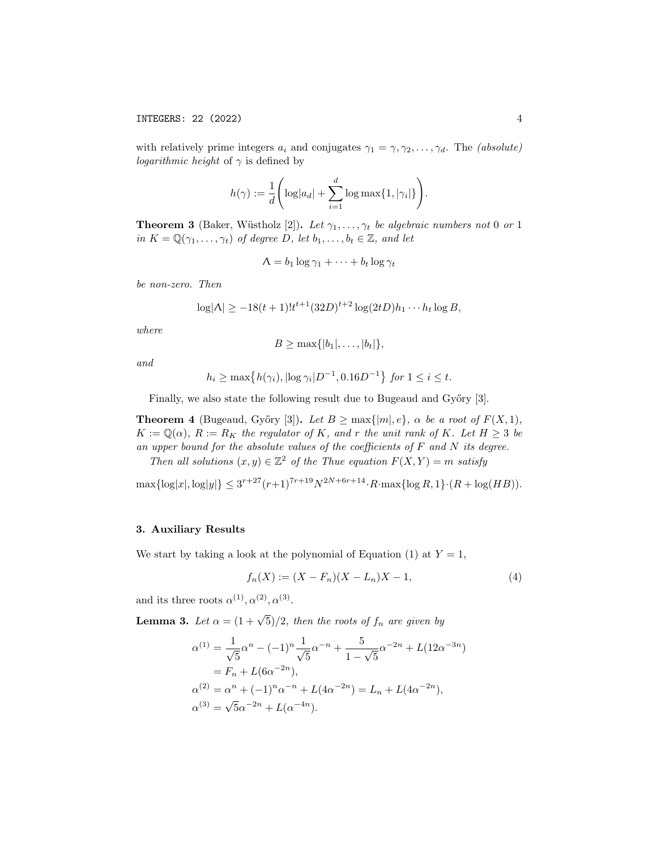with relatively prime integers  $a_i$  and conjugates  $\gamma_1 = \gamma, \gamma_2, \ldots, \gamma_d$ . The *(absolute) logarithmic height* of  $\gamma$  is defined by

$$
h(\gamma) := \frac{1}{d} \left( \log|a_d| + \sum_{i=1}^d \log \max\{1, |\gamma_i|\} \right).
$$

**Theorem 3** (Baker, Wüstholz [2]). Let  $\gamma_1, \ldots, \gamma_t$  be algebraic numbers not 0 or 1 in  $K = \mathbb{Q}(\gamma_1, \ldots, \gamma_t)$  of degree D, let  $b_1, \ldots, b_t \in \mathbb{Z}$ , and let

$$
\Lambda = b_1 \log \gamma_1 + \cdots + b_t \log \gamma_t
$$

be non-zero. Then

$$
\log|\Lambda| \ge -18(t+1)!t^{t+1}(32D)^{t+2}\log(2tD)h_1\cdots h_t\log B,
$$

where

$$
B \geq \max\{|b_1|,\ldots,|b_t|\},\
$$

and

$$
h_i \ge \max\{h(\gamma_i), |\log \gamma_i| D^{-1}, 0.16D^{-1}\}\
$$
for  $1 \le i \le t$ .

Finally, we also state the following result due to Bugeaud and Győry [3].

**Theorem 4** (Bugeaud, Győry [3]). Let  $B \ge \max\{|m|, e\}$ ,  $\alpha$  be a root of  $F(X, 1)$ ,  $K := \mathbb{Q}(\alpha)$ ,  $R := R_K$  the regulator of K, and r the unit rank of K. Let  $H \geq 3$  be an upper bound for the absolute values of the coefficients of  $F$  and  $N$  its degree.

Then all solutions  $(x, y) \in \mathbb{Z}^2$  of the Thue equation  $F(X, Y) = m$  satisfy

 $\max\{\log|x|, \log|y|\} \leq 3^{r+27}(r+1)^{7r+19}N^{2N+6r+14} \cdot R \cdot \max\{\log R, 1\} \cdot (R + \log(HB)).$ 

# 3. Auxiliary Results

We start by taking a look at the polynomial of Equation (1) at  $Y = 1$ ,

$$
f_n(X) := (X - F_n)(X - L_n)X - 1,\tag{4}
$$

and its three roots  $\alpha^{(1)}, \alpha^{(2)}, \alpha^{(3)}$ .

**Lemma 3.** Let  $\alpha = (1 + \sqrt{5})/2$ , then the roots of  $f_n$  are given by

$$
\alpha^{(1)} = \frac{1}{\sqrt{5}} \alpha^n - (-1)^n \frac{1}{\sqrt{5}} \alpha^{-n} + \frac{5}{1 - \sqrt{5}} \alpha^{-2n} + L(12\alpha^{-3n})
$$
  
=  $F_n + L(6\alpha^{-2n}),$   

$$
\alpha^{(2)} = \alpha^n + (-1)^n \alpha^{-n} + L(4\alpha^{-2n}) = L_n + L(4\alpha^{-2n}),
$$
  

$$
\alpha^{(3)} = \sqrt{5}\alpha^{-2n} + L(\alpha^{-4n}).
$$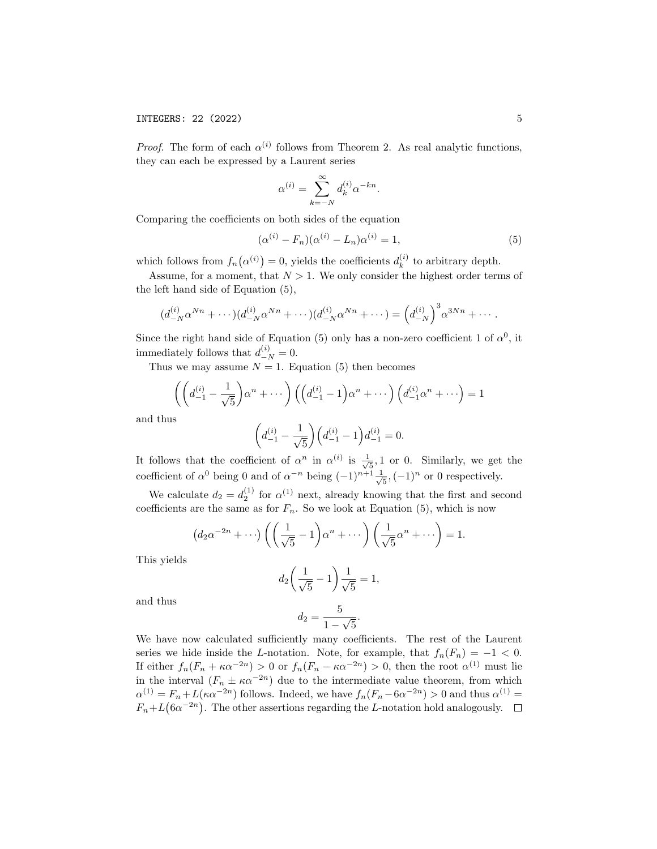*Proof.* The form of each  $\alpha^{(i)}$  follows from Theorem 2. As real analytic functions, they can each be expressed by a Laurent series

$$
\alpha^{(i)} = \sum_{k=-N}^{\infty} d_k^{(i)} \alpha^{-kn}.
$$

Comparing the coefficients on both sides of the equation

$$
(\alpha^{(i)} - F_n)(\alpha^{(i)} - L_n)\alpha^{(i)} = 1,\t\t(5)
$$

which follows from  $f_n(\alpha^{(i)}) = 0$ , yields the coefficients  $d_k^{(i)}$  $\binom{v}{k}$  to arbitrary depth.

Assume, for a moment, that  $N > 1$ . We only consider the highest order terms of the left hand side of Equation (5),

$$
(d_{-N}^{(i)} \alpha^{Nn} + \cdots)(d_{-N}^{(i)} \alpha^{Nn} + \cdots)(d_{-N}^{(i)} \alpha^{Nn} + \cdots) = (d_{-N}^{(i)})^3 \alpha^{3Nn} + \cdots
$$

Since the right hand side of Equation (5) only has a non-zero coefficient 1 of  $\alpha^0$ , it immediately follows that  $d_{-N}^{(i)} = 0$ .

Thus we may assume  $N = 1$ . Equation (5) then becomes

$$
\left( \left( d_{-1}^{(i)} - \frac{1}{\sqrt{5}} \right) \alpha^n + \cdots \right) \left( \left( d_{-1}^{(i)} - 1 \right) \alpha^n + \cdots \right) \left( d_{-1}^{(i)} \alpha^n + \cdots \right) = 1
$$

and thus

$$
\left(d_{-1}^{(i)} - \frac{1}{\sqrt{5}}\right)\left(d_{-1}^{(i)} - 1\right)d_{-1}^{(i)} = 0.
$$

It follows that the coefficient of  $\alpha^n$  in  $\alpha^{(i)}$  is  $\frac{1}{\sqrt{2}}$  $\frac{1}{5}$ , 1 or 0. Similarly, we get the coefficient of  $\alpha^0$  being 0 and of  $\alpha^{-n}$  being  $(-1)^{n+1} \frac{1}{\alpha}$  $\frac{1}{5}, (-1)^n$  or 0 respectively.

We calculate  $d_2 = d_2^{(1)}$  for  $\alpha^{(1)}$  next, already knowing that the first and second coefficients are the same as for  $F_n$ . So we look at Equation (5), which is now

$$
(d_2\alpha^{-2n}+\cdots)\left(\left(\frac{1}{\sqrt{5}}-1\right)\alpha^n+\cdots\right)\left(\frac{1}{\sqrt{5}}\alpha^n+\cdots\right)=1.
$$

This yields

$$
d_2 \left( \frac{1}{\sqrt{5}} - 1 \right) \frac{1}{\sqrt{5}} = 1,
$$
  

$$
d_2 = \frac{5}{1 - \sqrt{5}}.
$$

and thus

We have now calculated sufficiently many coefficients. The rest of the Laurent series we hide inside the L-notation. Note, for example, that  $f_n(F_n) = -1 < 0$ . If either  $f_n(F_n + \kappa \alpha^{-2n}) > 0$  or  $f_n(F_n - \kappa \alpha^{-2n}) > 0$ , then the root  $\alpha^{(1)}$  must lie in the interval  $(F_n \pm \kappa \alpha^{-2n})$  due to the intermediate value theorem, from which  $\alpha^{(1)} = F_n + L(\kappa \alpha^{-2n})$  follows. Indeed, we have  $f_n(F_n - 6\alpha^{-2n}) > 0$  and thus  $\alpha^{(1)} =$  $F_n + L(6\alpha^{-2n})$ . The other assertions regarding the L-notation hold analogously.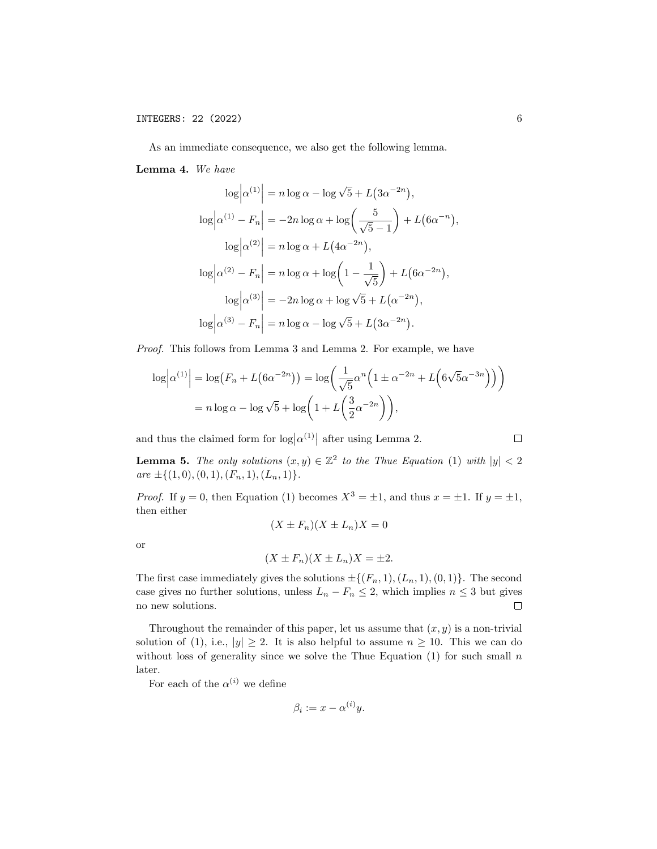As an immediate consequence, we also get the following lemma.

Lemma 4. We have

$$
\log |\alpha^{(1)}| = n \log \alpha - \log \sqrt{5} + L(3\alpha^{-2n}),
$$
  
\n
$$
\log |\alpha^{(1)} - F_n| = -2n \log \alpha + \log \left(\frac{5}{\sqrt{5} - 1}\right) + L(6\alpha^{-n}),
$$
  
\n
$$
\log |\alpha^{(2)}| = n \log \alpha + L(4\alpha^{-2n}),
$$
  
\n
$$
\log |\alpha^{(2)} - F_n| = n \log \alpha + \log \left(1 - \frac{1}{\sqrt{5}}\right) + L(6\alpha^{-2n}),
$$
  
\n
$$
\log |\alpha^{(3)}| = -2n \log \alpha + \log \sqrt{5} + L(\alpha^{-2n}),
$$
  
\n
$$
\log |\alpha^{(3)} - F_n| = n \log \alpha - \log \sqrt{5} + L(3\alpha^{-2n}).
$$

Proof. This follows from Lemma 3 and Lemma 2. For example, we have

$$
\log \left| \alpha^{(1)} \right| = \log \left( F_n + L \left( 6\alpha^{-2n} \right) \right) = \log \left( \frac{1}{\sqrt{5}} \alpha^n \left( 1 \pm \alpha^{-2n} + L \left( 6\sqrt{5}\alpha^{-3n} \right) \right) \right)
$$

$$
= n \log \alpha - \log \sqrt{5} + \log \left( 1 + L \left( \frac{3}{2} \alpha^{-2n} \right) \right),
$$

and thus the claimed form for  $\log |\alpha^{(1)}|$  after using Lemma 2.

$$
\Box
$$

**Lemma 5.** The only solutions  $(x, y) \in \mathbb{Z}^2$  to the Thue Equation (1) with  $|y| < 2$  $are \pm \{(1,0), (0,1), (F_n, 1), (L_n, 1)\}.$ 

*Proof.* If  $y = 0$ , then Equation (1) becomes  $X^3 = \pm 1$ , and thus  $x = \pm 1$ . If  $y = \pm 1$ , then either

$$
(X \pm F_n)(X \pm L_n)X = 0
$$

or

$$
(X \pm F_n)(X \pm L_n)X = \pm 2.
$$

The first case immediately gives the solutions  $\pm \{(F_n, 1), (L_n, 1), (0, 1)\}.$  The second case gives no further solutions, unless  $L_n - F_n \leq 2$ , which implies  $n \leq 3$  but gives no new solutions.  $\Box$ 

Throughout the remainder of this paper, let us assume that  $(x, y)$  is a non-trivial solution of (1), i.e.,  $|y| \geq 2$ . It is also helpful to assume  $n \geq 10$ . This we can do without loss of generality since we solve the Thue Equation (1) for such small  $n$ later.

For each of the  $\alpha^{(i)}$  we define

$$
\beta_i := x - \alpha^{(i)} y.
$$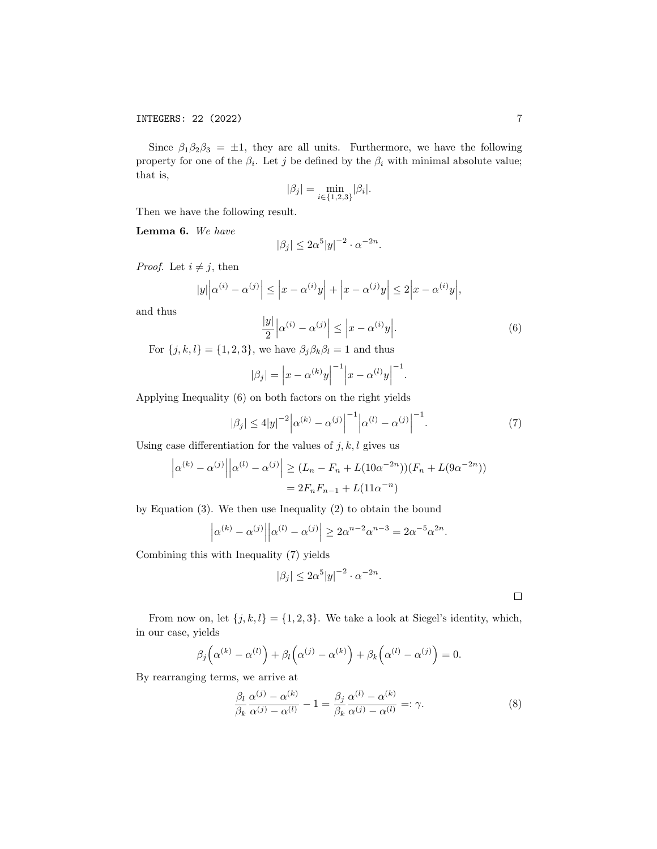Since  $\beta_1\beta_2\beta_3 = \pm 1$ , they are all units. Furthermore, we have the following property for one of the  $\beta_i$ . Let j be defined by the  $\beta_i$  with minimal absolute value; that is,

$$
|\beta_j|=\min_{i\in\{1,2,3\}}|\beta_i|.
$$

Then we have the following result.

Lemma 6. We have

$$
|\beta_j| \le 2\alpha^5 |y|^{-2} \cdot \alpha^{-2n}.
$$

*Proof.* Let  $i \neq j$ , then

$$
|y|\Big|\alpha^{(i)} - \alpha^{(j)}\Big| \le \Big|x - \alpha^{(i)}y\Big| + \Big|x - \alpha^{(j)}y\Big| \le 2\Big|x - \alpha^{(i)}y\Big|,
$$

and thus

$$
\frac{|y|}{2} \left| \alpha^{(i)} - \alpha^{(j)} \right| \le \left| x - \alpha^{(i)} y \right|.
$$
 (6)

For  $\{j, k, l\} = \{1, 2, 3\}$ , we have  $\beta_j \beta_k \beta_l = 1$  and thus

$$
|\beta_j| = |x - \alpha^{(k)}y|^{-1} |x - \alpha^{(l)}y|^{-1}.
$$

Applying Inequality (6) on both factors on the right yields

$$
|\beta_j| \le 4|y|^{-2} |\alpha^{(k)} - \alpha^{(j)}|^{-1} |\alpha^{(l)} - \alpha^{(j)}|^{-1}.
$$
 (7)

Using case differentiation for the values of  $j, k, l$  gives us

$$
\left| \alpha^{(k)} - \alpha^{(j)} \right| \left| \alpha^{(l)} - \alpha^{(j)} \right| \ge (L_n - F_n + L(10\alpha^{-2n})) (F_n + L(9\alpha^{-2n}))
$$
  
=  $2F_n F_{n-1} + L(11\alpha^{-n})$ 

by Equation (3). We then use Inequality (2) to obtain the bound

$$
|\alpha^{(k)} - \alpha^{(j)}| |\alpha^{(l)} - \alpha^{(j)}| \ge 2\alpha^{n-2}\alpha^{n-3} = 2\alpha^{-5}\alpha^{2n}.
$$

Combining this with Inequality (7) yields

$$
|\beta_j| \le 2\alpha^5 |y|^{-2} \cdot \alpha^{-2n}.
$$

 $\Box$ 

From now on, let  $\{j, k, l\} = \{1, 2, 3\}$ . We take a look at Siegel's identity, which, in our case, yields

$$
\beta_j\left(\alpha^{(k)}-\alpha^{(l)}\right)+\beta_l\left(\alpha^{(j)}-\alpha^{(k)}\right)+\beta_k\left(\alpha^{(l)}-\alpha^{(j)}\right)=0.
$$

By rearranging terms, we arrive at

$$
\frac{\beta_l}{\beta_k} \frac{\alpha^{(j)} - \alpha^{(k)}}{\alpha^{(j)} - \alpha^{(l)}} - 1 = \frac{\beta_j}{\beta_k} \frac{\alpha^{(l)} - \alpha^{(k)}}{\alpha^{(j)} - \alpha^{(l)}} =: \gamma.
$$
\n(8)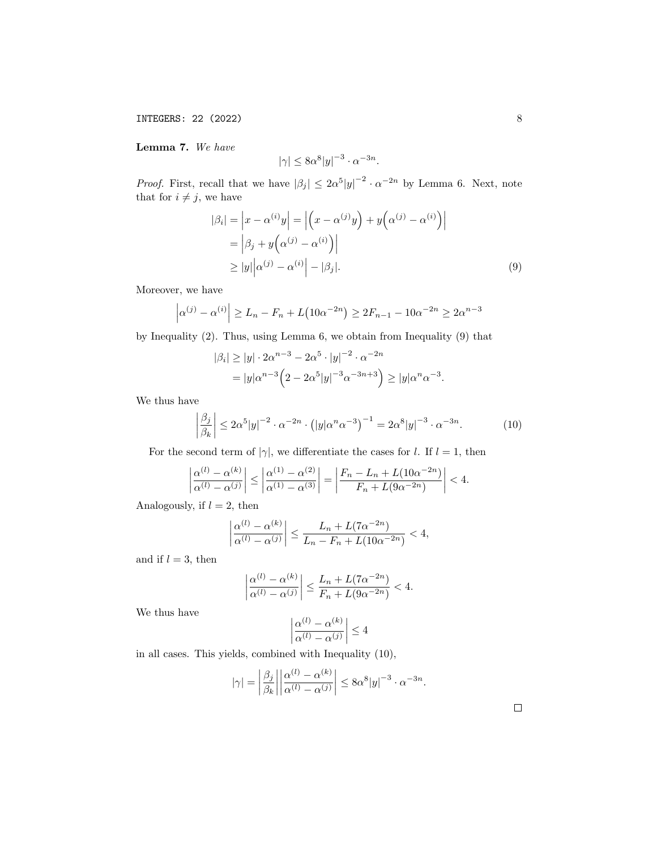Lemma 7. We have

$$
|\gamma| \le 8\alpha^8 |y|^{-3} \cdot \alpha^{-3n}.
$$

*Proof.* First, recall that we have  $|\beta_j| \leq 2\alpha^5 |y|^{-2} \cdot \alpha^{-2n}$  by Lemma 6. Next, note that for  $i \neq j$ , we have

$$
|\beta_i| = \left| x - \alpha^{(i)} y \right| = \left| \left( x - \alpha^{(j)} y \right) + y \left( \alpha^{(j)} - \alpha^{(i)} \right) \right|
$$
  
= 
$$
\left| \beta_j + y \left( \alpha^{(j)} - \alpha^{(i)} \right) \right|
$$
  

$$
\geq |y| \left| \alpha^{(j)} - \alpha^{(i)} \right| - |\beta_j|.
$$
 (9)

Moreover, we have

$$
\left| \alpha^{(j)} - \alpha^{(i)} \right| \ge L_n - F_n + L\left(10\alpha^{-2n}\right) \ge 2F_{n-1} - 10\alpha^{-2n} \ge 2\alpha^{n-3}
$$

by Inequality (2). Thus, using Lemma 6, we obtain from Inequality (9) that

$$
|\beta_i| \ge |y| \cdot 2\alpha^{n-3} - 2\alpha^5 \cdot |y|^{-2} \cdot \alpha^{-2n}
$$
  
= 
$$
|y|\alpha^{n-3} \left(2 - 2\alpha^5|y|^{-3}\alpha^{-3n+3}\right) \ge |y|\alpha^n\alpha^{-3}.
$$

We thus have

$$
\left| \frac{\beta_j}{\beta_k} \right| \le 2\alpha^5 |y|^{-2} \cdot \alpha^{-2n} \cdot \left( |y| \alpha^n \alpha^{-3} \right)^{-1} = 2\alpha^8 |y|^{-3} \cdot \alpha^{-3n}.
$$
 (10)

For the second term of  $|\gamma|$ , we differentiate the cases for l. If  $l = 1$ , then

$$
\left|\frac{\alpha^{(l)}-\alpha^{(k)}}{\alpha^{(l)}-\alpha^{(j)}}\right| \le \left|\frac{\alpha^{(1)}-\alpha^{(2)}}{\alpha^{(1)}-\alpha^{(3)}}\right| = \left|\frac{F_n - L_n + L(10\alpha^{-2n})}{F_n + L(9\alpha^{-2n})}\right| < 4.
$$

Analogously, if  $l = 2$ , then

$$
\left|\frac{\alpha^{(l)}-\alpha^{(k)}}{\alpha^{(l)}-\alpha^{(j)}}\right| \le \frac{L_n+L(7\alpha^{-2n})}{L_n-F_n+L(10\alpha^{-2n})} < 4,
$$

and if  $l = 3$ , then

$$
\left|\frac{\alpha^{(l)}-\alpha^{(k)}}{\alpha^{(l)}-\alpha^{(j)}}\right| \le \frac{L_n+L(7\alpha^{-2n})}{F_n+L(9\alpha^{-2n})} < 4.
$$

We thus have

$$
\left|\frac{\alpha^{(l)} - \alpha^{(k)}}{\alpha^{(l)} - \alpha^{(j)}}\right| \le 4
$$

in all cases. This yields, combined with Inequality (10),

$$
|\gamma| = \left| \frac{\beta_j}{\beta_k} \right| \left| \frac{\alpha^{(l)} - \alpha^{(k)}}{\alpha^{(l)} - \alpha^{(j)}} \right| \le 8\alpha^8 |y|^{-3} \cdot \alpha^{-3n}.
$$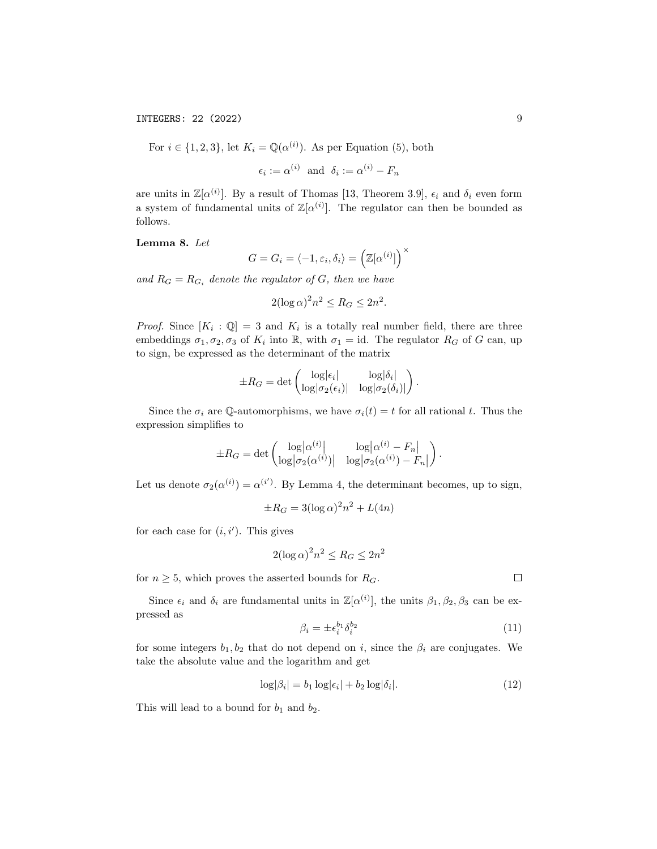For  $i \in \{1, 2, 3\}$ , let  $K_i = \mathbb{Q}(\alpha^{(i)})$ . As per Equation (5), both

$$
\epsilon_i := \alpha^{(i)}
$$
 and  $\delta_i := \alpha^{(i)} - F_n$ 

are units in  $\mathbb{Z}[\alpha^{(i)}]$ . By a result of Thomas [13, Theorem 3.9],  $\epsilon_i$  and  $\delta_i$  even form a system of fundamental units of  $\mathbb{Z}[\alpha^{(i)}]$ . The regulator can then be bounded as follows.

Lemma 8. Let

$$
G = G_i = \langle -1, \varepsilon_i, \delta_i \rangle = \left( \mathbb{Z}[\alpha^{(i)}] \right)^{\times}
$$

and  $R_G = R_{G_i}$  denote the regulator of G, then we have

$$
2(\log \alpha)^2 n^2 \le R_G \le 2n^2.
$$

*Proof.* Since  $[K_i : \mathbb{Q}] = 3$  and  $K_i$  is a totally real number field, there are three embeddings  $\sigma_1, \sigma_2, \sigma_3$  of  $K_i$  into  $\mathbb{R}$ , with  $\sigma_1 = id$ . The regulator  $R_G$  of G can, up to sign, be expressed as the determinant of the matrix

$$
\pm R_G = \det \begin{pmatrix} \log|\epsilon_i| & \log|\delta_i| \\ \log|\sigma_2(\epsilon_i)| & \log|\sigma_2(\delta_i)| \end{pmatrix}.
$$

Since the  $\sigma_i$  are Q-automorphisms, we have  $\sigma_i(t) = t$  for all rational t. Thus the expression simplifies to

$$
\pm R_G = \det \begin{pmatrix} \log |\alpha^{(i)}| & \log |\alpha^{(i)} - F_n| \\ \log |\sigma_2(\alpha^{(i)})| & \log |\sigma_2(\alpha^{(i)}) - F_n| \end{pmatrix}.
$$

Let us denote  $\sigma_2(\alpha^{(i)}) = \alpha^{(i')}$ . By Lemma 4, the determinant becomes, up to sign,

$$
\pm R_G = 3(\log \alpha)^2 n^2 + L(4n)
$$

for each case for  $(i, i')$ . This gives

$$
2(\log \alpha)^2 n^2 \le R_G \le 2n^2
$$

for  $n \geq 5$ , which proves the asserted bounds for  $R_G$ .

Since  $\epsilon_i$  and  $\delta_i$  are fundamental units in  $\mathbb{Z}[\alpha^{(i)}]$ , the units  $\beta_1, \beta_2, \beta_3$  can be expressed as

$$
\beta_i = \pm \epsilon_i^{b_1} \delta_i^{b_2} \tag{11}
$$

for some integers  $b_1, b_2$  that do not depend on i, since the  $\beta_i$  are conjugates. We take the absolute value and the logarithm and get

$$
\log|\beta_i| = b_1 \log|\epsilon_i| + b_2 \log|\delta_i|.
$$
\n(12)

This will lead to a bound for  $b_1$  and  $b_2$ .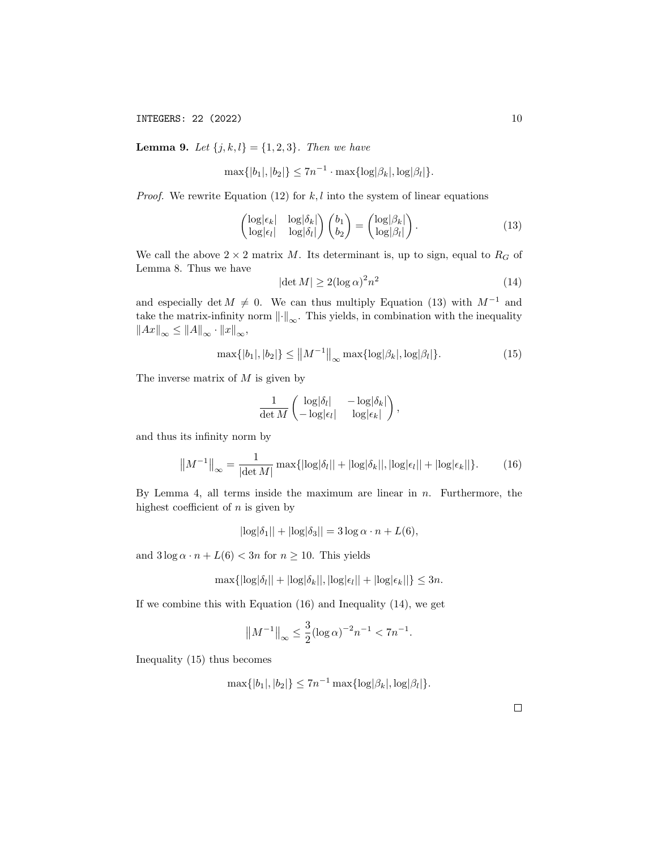**Lemma 9.** Let  $\{j, k, l\} = \{1, 2, 3\}$ . Then we have

$$
\max\{|b_1|, |b_2|\} \le 7n^{-1} \cdot \max\{\log|\beta_k|, \log|\beta_l|\}.
$$

*Proof.* We rewrite Equation (12) for  $k, l$  into the system of linear equations

$$
\begin{pmatrix}\n\log|\epsilon_k| & \log|\delta_k| \\
\log|\epsilon_l| & \log|\delta_l|\n\end{pmatrix}\n\begin{pmatrix}\nb_1 \\
b_2\n\end{pmatrix} =\n\begin{pmatrix}\n\log|\beta_k| \\
\log|\beta_l|\n\end{pmatrix}.
$$
\n(13)

We call the above  $2 \times 2$  matrix M. Its determinant is, up to sign, equal to  $R_G$  of Lemma 8. Thus we have

$$
|\det M| \ge 2(\log \alpha)^2 n^2 \tag{14}
$$

and especially det  $M \neq 0$ . We can thus multiply Equation (13) with  $M^{-1}$  and take the matrix-infinity norm  $\left\| \cdot \right\|_{\infty}$ . This yields, in combination with the inequality  $\left\|Ax\right\|_{\infty} \leq \left\|A\right\|_{\infty} \cdot \left\|x\right\|_{\infty},$ 

$$
\max\{|b_1|, |b_2|\} \le ||M^{-1}||_{\infty} \max\{\log|\beta_k|, \log|\beta_l|\}.
$$
 (15)

The inverse matrix of  $M$  is given by

$$
\frac{1}{\det M} \begin{pmatrix} \log|\delta_l| & -\log|\delta_k| \\ -\log|\epsilon_l| & \log|\epsilon_k| \end{pmatrix},
$$

and thus its infinity norm by

$$
||M^{-1}||_{\infty} = \frac{1}{|\det M|} \max\{|\log|\delta_l|| + |\log|\delta_k||, |\log|\epsilon_l|| + |\log|\epsilon_k||\}.
$$
 (16)

By Lemma 4, all terms inside the maximum are linear in  $n$ . Furthermore, the highest coefficient of  $n$  is given by

$$
|\log|\delta_1|| + |\log|\delta_3|| = 3\log\alpha \cdot n + L(6),
$$

and  $3 \log \alpha \cdot n + L(6) < 3n$  for  $n \ge 10$ . This yields

$$
\max\{|\log|\delta_l|| + |\log|\delta_k||, |\log|\epsilon_l|| + |\log|\epsilon_k||\} \le 3n.
$$

If we combine this with Equation (16) and Inequality (14), we get

$$
||M^{-1}||_{\infty} \le \frac{3}{2} (\log \alpha)^{-2} n^{-1} < 7n^{-1}.
$$

Inequality (15) thus becomes

$$
\max\{|b_1|, |b_2|\} \le 7n^{-1} \max\{\log|\beta_k|, \log|\beta_l|\}.
$$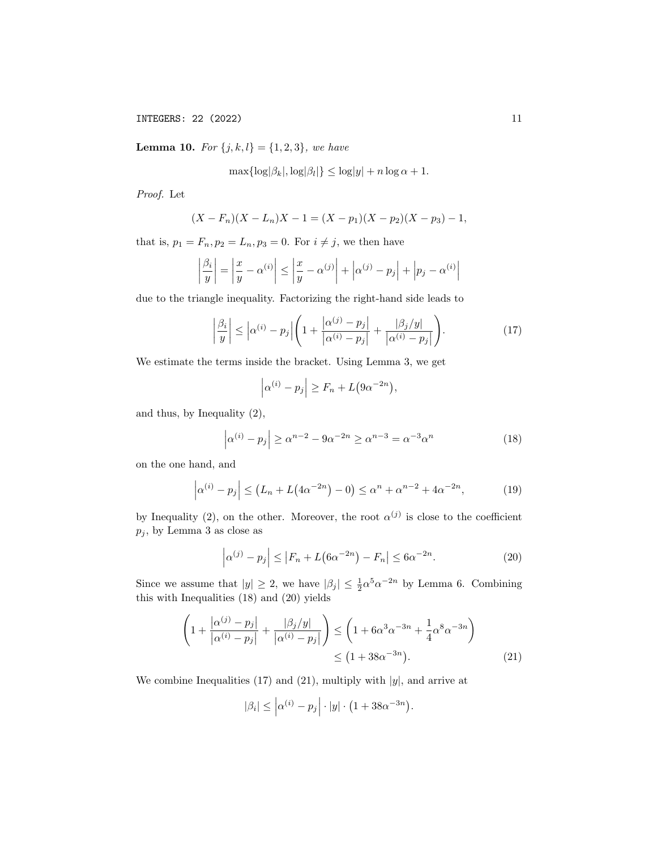**Lemma 10.** For  $\{j, k, l\} = \{1, 2, 3\}$ , we have

$$
\max\{\log|\beta_k|, \log|\beta_l|\} \le \log|y| + n\log\alpha + 1.
$$

Proof. Let

$$
(X - F_n)(X - L_n)X - 1 = (X - p_1)(X - p_2)(X - p_3) - 1,
$$

that is,  $p_1 = F_n$ ,  $p_2 = L_n$ ,  $p_3 = 0$ . For  $i \neq j$ , we then have

$$
\left|\frac{\beta_i}{y}\right| = \left|\frac{x}{y} - \alpha^{(i)}\right| \le \left|\frac{x}{y} - \alpha^{(j)}\right| + \left|\alpha^{(j)} - p_j\right| + \left|p_j - \alpha^{(i)}\right|
$$

due to the triangle inequality. Factorizing the right-hand side leads to

$$
\left|\frac{\beta_i}{y}\right| \le \left|\alpha^{(i)} - p_j\right| \left(1 + \frac{\left|\alpha^{(j)} - p_j\right|}{\left|\alpha^{(i)} - p_j\right|} + \frac{\left|\beta_j/y\right|}{\left|\alpha^{(i)} - p_j\right|}\right). \tag{17}
$$

We estimate the terms inside the bracket. Using Lemma 3, we get

$$
\left|\alpha^{(i)} - p_j\right| \ge F_n + L\big(9\alpha^{-2n}\big),\,
$$

and thus, by Inequality (2),

$$
\left|\alpha^{(i)} - p_j\right| \ge \alpha^{n-2} - 9\alpha^{-2n} \ge \alpha^{n-3} = \alpha^{-3}\alpha^n \tag{18}
$$

on the one hand, and

$$
\left|\alpha^{(i)} - p_j\right| \le \left(L_n + L\left(4\alpha^{-2n}\right) - 0\right) \le \alpha^n + \alpha^{n-2} + 4\alpha^{-2n},\tag{19}
$$

by Inequality (2), on the other. Moreover, the root  $\alpha^{(j)}$  is close to the coefficient  $p_j$ , by Lemma 3 as close as

$$
\left|\alpha^{(j)} - p_j\right| \le \left|F_n + L\left(6\alpha^{-2n}\right) - F_n\right| \le 6\alpha^{-2n}.\tag{20}
$$

Since we assume that  $|y| \geq 2$ , we have  $|\beta_j| \leq \frac{1}{2} \alpha^{5} \alpha^{-2n}$  by Lemma 6. Combining this with Inequalities (18) and (20) yields

$$
\left(1 + \frac{|\alpha^{(j)} - p_j|}{|\alpha^{(i)} - p_j|} + \frac{|\beta_j/y|}{|\alpha^{(i)} - p_j|}\right) \le \left(1 + 6\alpha^3 \alpha^{-3n} + \frac{1}{4}\alpha^8 \alpha^{-3n}\right)
$$
  
\n
$$
\le \left(1 + 38\alpha^{-3n}\right).
$$
\n(21)

We combine Inequalities (17) and (21), multiply with  $|y|$ , and arrive at

$$
|\beta_i| \leq \left| \alpha^{(i)} - p_j \right| \cdot |y| \cdot \left( 1 + 38\alpha^{-3n} \right).
$$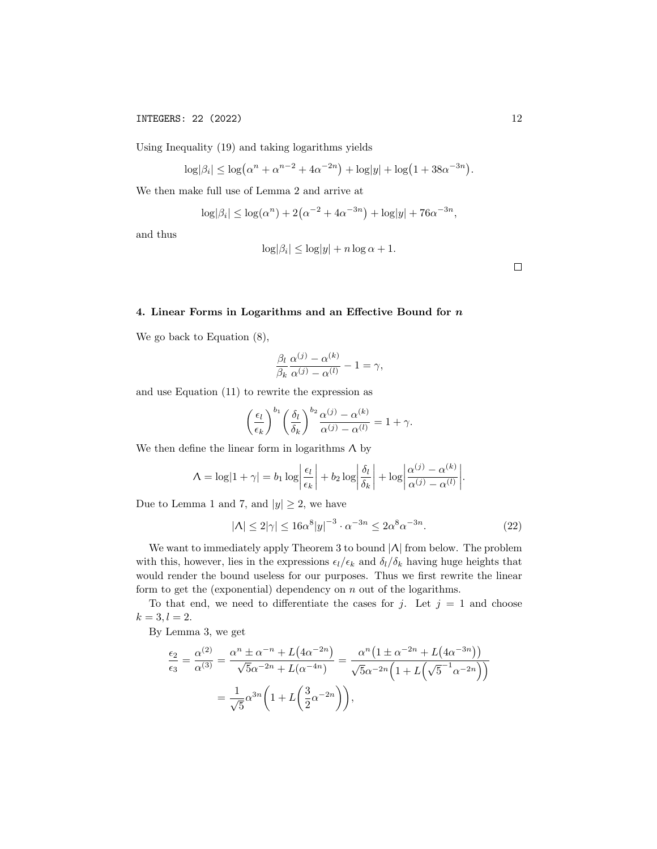Using Inequality (19) and taking logarithms yields

$$
\log|\beta_i| \le \log(\alpha^n + \alpha^{n-2} + 4\alpha^{-2n}) + \log|y| + \log(1 + 38\alpha^{-3n}).
$$

We then make full use of Lemma 2 and arrive at

$$
\log|\beta_i| \le \log(\alpha^n) + 2(\alpha^{-2} + 4\alpha^{-3n}) + \log|y| + 76\alpha^{-3n},
$$

and thus

$$
\log|\beta_i| \le \log|y| + n \log \alpha + 1.
$$

 $\Box$ 

# 4. Linear Forms in Logarithms and an Effective Bound for  $n$

We go back to Equation (8),

$$
\frac{\beta_l}{\beta_k} \frac{\alpha^{(j)} - \alpha^{(k)}}{\alpha^{(j)} - \alpha^{(l)}} - 1 = \gamma,
$$

and use Equation (11) to rewrite the expression as

$$
\left(\frac{\epsilon_l}{\epsilon_k}\right)^{b_1} \left(\frac{\delta_l}{\delta_k}\right)^{b_2} \frac{\alpha^{(j)} - \alpha^{(k)}}{\alpha^{(j)} - \alpha^{(l)}} = 1 + \gamma.
$$

We then define the linear form in logarithms  $\Lambda$  by

$$
\Lambda = \log|1 + \gamma| = b_1 \log \left| \frac{\epsilon_l}{\epsilon_k} \right| + b_2 \log \left| \frac{\delta_l}{\delta_k} \right| + \log \left| \frac{\alpha^{(j)} - \alpha^{(k)}}{\alpha^{(j)} - \alpha^{(l)}} \right|.
$$

Due to Lemma 1 and 7, and  $|y| \geq 2$ , we have

$$
|\Lambda| \le 2|\gamma| \le 16\alpha^8|y|^{-3} \cdot \alpha^{-3n} \le 2\alpha^8 \alpha^{-3n}.\tag{22}
$$

We want to immediately apply Theorem 3 to bound |Λ| from below. The problem with this, however, lies in the expressions  $\epsilon_l/\epsilon_k$  and  $\delta_l/\delta_k$  having huge heights that would render the bound useless for our purposes. Thus we first rewrite the linear form to get the (exponential) dependency on  $n$  out of the logarithms.

To that end, we need to differentiate the cases for j. Let  $j = 1$  and choose  $k = 3, l = 2.$ 

By Lemma 3, we get

$$
\frac{\epsilon_2}{\epsilon_3} = \frac{\alpha^{(2)}}{\alpha^{(3)}} = \frac{\alpha^n \pm \alpha^{-n} + L(4\alpha^{-2n})}{\sqrt{5}\alpha^{-2n} + L(\alpha^{-4n})} = \frac{\alpha^n \left(1 \pm \alpha^{-2n} + L(4\alpha^{-3n})\right)}{\sqrt{5}\alpha^{-2n} \left(1 + L\left(\sqrt{5}^{-1}\alpha^{-2n}\right)\right)}
$$

$$
= \frac{1}{\sqrt{5}} \alpha^{3n} \left(1 + L\left(\frac{3}{2}\alpha^{-2n}\right)\right),
$$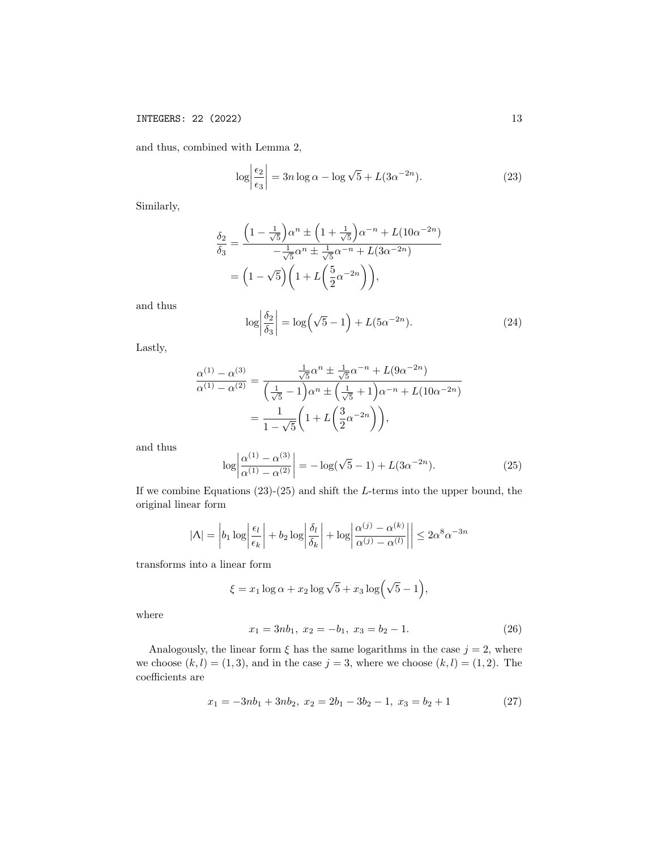and thus, combined with Lemma 2,

$$
\log \left| \frac{\epsilon_2}{\epsilon_3} \right| = 3n \log \alpha - \log \sqrt{5} + L(3\alpha^{-2n}). \tag{23}
$$

Similarly,

$$
\frac{\delta_2}{\delta_3} = \frac{\left(1 - \frac{1}{\sqrt{5}}\right)\alpha^n \pm \left(1 + \frac{1}{\sqrt{5}}\right)\alpha^{-n} + L(10\alpha^{-2n})}{-\frac{1}{\sqrt{5}}\alpha^n \pm \frac{1}{\sqrt{5}}\alpha^{-n} + L(3\alpha^{-2n})}
$$

$$
= \left(1 - \sqrt{5}\right)\left(1 + L\left(\frac{5}{2}\alpha^{-2n}\right)\right),
$$

and thus

$$
\log \left| \frac{\delta_2}{\delta_3} \right| = \log \left( \sqrt{5} - 1 \right) + L \left( 5\alpha^{-2n} \right). \tag{24}
$$

Lastly,

$$
\frac{\alpha^{(1)} - \alpha^{(3)}}{\alpha^{(1)} - \alpha^{(2)}} = \frac{\frac{1}{\sqrt{5}}\alpha^n \pm \frac{1}{\sqrt{5}}\alpha^{-n} + L(9\alpha^{-2n})}{\left(\frac{1}{\sqrt{5}} - 1\right)\alpha^n \pm \left(\frac{1}{\sqrt{5}} + 1\right)\alpha^{-n} + L(10\alpha^{-2n})}
$$

$$
= \frac{1}{1 - \sqrt{5}} \left(1 + L\left(\frac{3}{2}\alpha^{-2n}\right)\right),
$$

and thus

$$
\log \left| \frac{\alpha^{(1)} - \alpha^{(3)}}{\alpha^{(1)} - \alpha^{(2)}} \right| = -\log(\sqrt{5} - 1) + L(3\alpha^{-2n}). \tag{25}
$$

If we combine Equations  $(23)-(25)$  and shift the L-terms into the upper bound, the original linear form

$$
|\Lambda| = \left| b_1 \log \left| \frac{\epsilon_l}{\epsilon_k} \right| + b_2 \log \left| \frac{\delta_l}{\delta_k} \right| + \log \left| \frac{\alpha^{(j)} - \alpha^{(k)}}{\alpha^{(j)} - \alpha^{(l)}} \right| \right| \le 2\alpha^8 \alpha^{-3n}
$$

transforms into a linear form

$$
\xi = x_1 \log \alpha + x_2 \log \sqrt{5} + x_3 \log \left( \sqrt{5} - 1 \right),
$$

where

$$
x_1 = 3nb_1, x_2 = -b_1, x_3 = b_2 - 1.
$$
 (26)

Analogously, the linear form  $\xi$  has the same logarithms in the case  $j = 2$ , where we choose  $(k, l) = (1, 3)$ , and in the case  $j = 3$ , where we choose  $(k, l) = (1, 2)$ . The coefficients are

$$
x_1 = -3nb_1 + 3nb_2, \ x_2 = 2b_1 - 3b_2 - 1, \ x_3 = b_2 + 1 \tag{27}
$$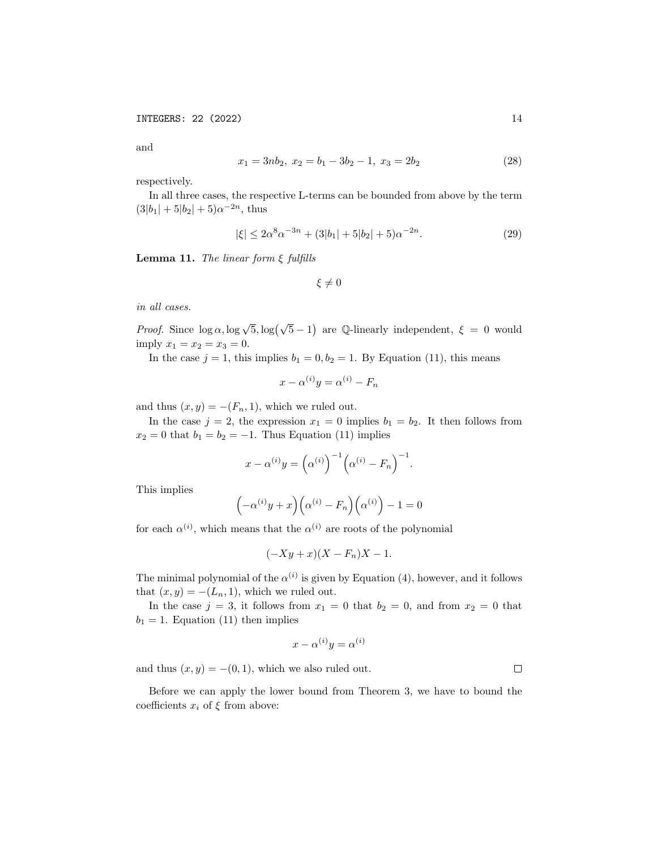and

$$
x_1 = 3nb_2, \ x_2 = b_1 - 3b_2 - 1, \ x_3 = 2b_2 \tag{28}
$$

respectively.

In all three cases, the respective L-terms can be bounded from above by the term  $(3|b_1| + 5|b_2| + 5)\alpha^{-2n}$ , thus

$$
|\xi| \le 2\alpha^8 \alpha^{-3n} + (3|b_1| + 5|b_2| + 5)\alpha^{-2n}.\tag{29}
$$

**Lemma 11.** The linear form  $\xi$  fulfills

 $\xi \neq 0$ 

in all cases.

*Proof.* Since  $\log \alpha$ ,  $\log \sqrt{5}$ ,  $\log(\sqrt{5}-1)$  are Q-linearly independent,  $\xi = 0$  would imply  $x_1 = x_2 = x_3 = 0$ .

In the case  $j = 1$ , this implies  $b_1 = 0, b_2 = 1$ . By Equation (11), this means

$$
x - \alpha^{(i)}y = \alpha^{(i)} - F_n
$$

and thus  $(x, y) = -(F_n, 1)$ , which we ruled out.

In the case  $j = 2$ , the expression  $x_1 = 0$  implies  $b_1 = b_2$ . It then follows from  $x_2 = 0$  that  $b_1 = b_2 = -1$ . Thus Equation (11) implies

$$
x - \alpha^{(i)}y = (\alpha^{(i)})^{-1}(\alpha^{(i)} - F_n)^{-1}.
$$

This implies

$$
(-\alpha^{(i)}y + x)\left(\alpha^{(i)} - F_n\right)\left(\alpha^{(i)}\right) - 1 = 0
$$

for each  $\alpha^{(i)}$ , which means that the  $\alpha^{(i)}$  are roots of the polynomial

$$
(-Xy + x)(X - F_n)X - 1.
$$

The minimal polynomial of the  $\alpha^{(i)}$  is given by Equation (4), however, and it follows that  $(x, y) = -(L_n, 1)$ , which we ruled out.

In the case  $j = 3$ , it follows from  $x_1 = 0$  that  $b_2 = 0$ , and from  $x_2 = 0$  that  $b_1 = 1$ . Equation (11) then implies

$$
x - \alpha^{(i)}y = \alpha^{(i)}
$$

and thus  $(x, y) = -(0, 1)$ , which we also ruled out.

Before we can apply the lower bound from Theorem 3, we have to bound the coefficients  $x_i$  of  $\xi$  from above: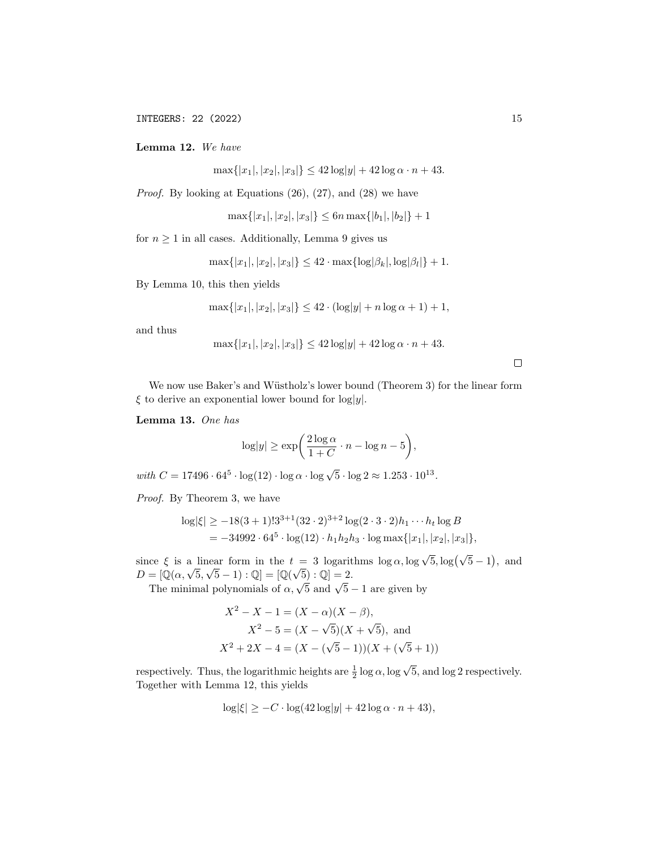Lemma 12. We have

 $\max\{|x_1|, |x_2|, |x_3|\} \leq 42 \log|y| + 42 \log \alpha \cdot n + 43.$ 

Proof. By looking at Equations (26), (27), and (28) we have

$$
\max\{|x_1|, |x_2|, |x_3|\} \le 6n \max\{|b_1|, |b_2|\} + 1
$$

for  $n \geq 1$  in all cases. Additionally, Lemma 9 gives us

$$
\max\{|x_1|, |x_2|, |x_3|\} \le 42 \cdot \max\{\log|\beta_k|, \log|\beta_l|\} + 1.
$$

By Lemma 10, this then yields

$$
\max\{|x_1|, |x_2|, |x_3|\} \le 42 \cdot (\log|y| + n \log \alpha + 1) + 1,
$$

and thus

$$
\max\{|x_1|, |x_2|, |x_3|\} \le 42\log|y| + 42\log\alpha \cdot n + 43.
$$

 $\Box$ 

We now use Baker's and Wüstholz's lower bound (Theorem 3) for the linear form  $\xi$  to derive an exponential lower bound for log|y|.

Lemma 13. One has

$$
\log|y| \ge \exp\biggl(\frac{2\log\alpha}{1+C} \cdot n - \log n - 5\biggr),\,
$$

with  $C = 17496 \cdot 64^5 \cdot \log(12) \cdot \log \alpha \cdot \log \sqrt{5} \cdot \log 2 \approx 1.253 \cdot 10^{13}$ .

Proof. By Theorem 3, we have

$$
\log|\xi| \ge -18(3+1)!3^{3+1}(32\cdot 2)^{3+2}\log(2\cdot 3\cdot 2)h_1\cdots h_t\log B
$$
  
= -34992\cdot 64<sup>5</sup> \cdot \log(12) \cdot h\_1h\_2h\_3 \cdot \log \max\{|x\_1|, |x\_2|, |x\_3|\},

since  $\xi$  is a linear form in the  $t = 3$  logarithms  $\log \alpha$ ,  $\log \sqrt{5}$ ,  $\log(\sqrt{5}-1)$ , and since  $\zeta$  is a finear form in the  $t = 3$  logarity<br>  $D = [\mathbb{Q}(\alpha, \sqrt{5}, \sqrt{5} - 1) : \mathbb{Q}] = [\mathbb{Q}(\sqrt{5}) : \mathbb{Q}] = 2.$ 

 $-\sqrt{\alpha}$ ,  $\nabla \cdot \sqrt{\alpha} - 1$ ,  $\sqrt{\alpha} - \sqrt{\alpha}$  and  $\sqrt{\alpha} - 2$ .<br>The minimal polynomials of  $\alpha$ ,  $\sqrt{5}$  and  $\sqrt{5} - 1$  are given by

$$
X^{2} - X - 1 = (X - \alpha)(X - \beta),
$$
  
\n
$$
X^{2} - 5 = (X - \sqrt{5})(X + \sqrt{5}),
$$
 and  
\n
$$
X^{2} + 2X - 4 = (X - (\sqrt{5} - 1))(X + (\sqrt{5} + 1))
$$

respectively. Thus, the logarithmic heights are  $\frac{1}{2} \log \alpha$ ,  $\log \sqrt{5}$ , and  $\log 2$  respectively. Together with Lemma 12, this yields

$$
\log|\xi| \ge -C \cdot \log(42 \log|y| + 42 \log \alpha \cdot n + 43),
$$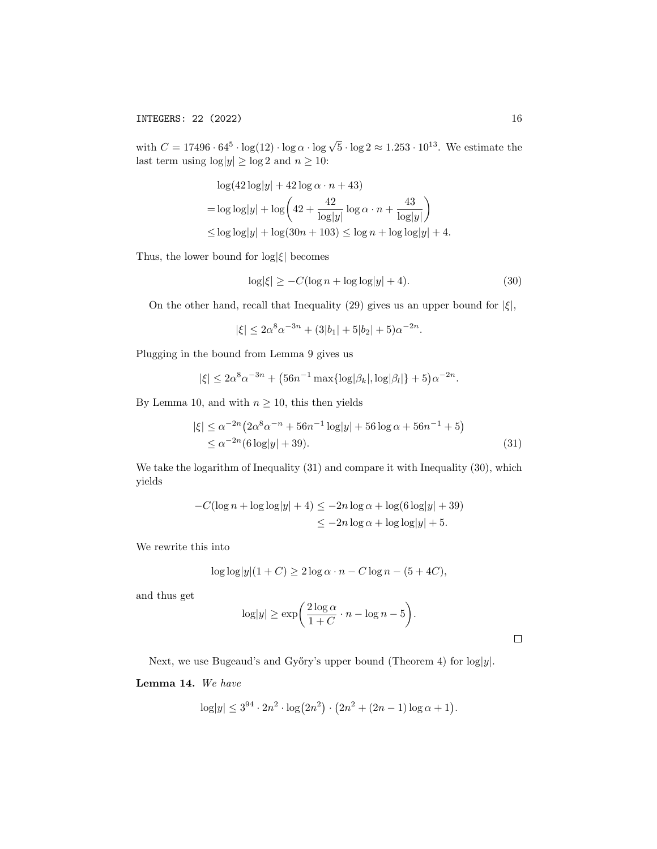with  $C = 17496 \cdot 64^5 \cdot \log(12) \cdot \log \alpha \cdot \log \sqrt{5} \cdot \log 2 \approx 1.253 \cdot 10^{13}$ . We estimate the last term using  $\log|y| \ge \log 2$  and  $n \ge 10$ :

$$
\log(42 \log|y| + 42 \log \alpha \cdot n + 43)
$$
  
=  $\log \log|y| + \log \left( 42 + \frac{42}{\log|y|} \log \alpha \cdot n + \frac{43}{\log|y|} \right)$   
 $\leq \log \log|y| + \log(30n + 103) \leq \log n + \log \log|y| + 4.$ 

Thus, the lower bound for  $\log|\xi|$  becomes

$$
\log|\xi| \ge -C(\log n + \log \log |y| + 4). \tag{30}
$$

On the other hand, recall that Inequality (29) gives us an upper bound for  $|\xi|$ ,

$$
|\xi| \le 2\alpha^8 \alpha^{-3n} + (3|b_1| + 5|b_2| + 5)\alpha^{-2n}.
$$

Plugging in the bound from Lemma 9 gives us

$$
|\xi| \le 2\alpha^8 \alpha^{-3n} + (56n^{-1} \max\{\log|\beta_k|, \log|\beta_l|\} + 5)\alpha^{-2n}.
$$

By Lemma 10, and with  $n \geq 10$ , this then yields

$$
|\xi| \le \alpha^{-2n} \left( 2\alpha^8 \alpha^{-n} + 56n^{-1} \log|y| + 56 \log \alpha + 56n^{-1} + 5 \right)
$$
  
 
$$
\le \alpha^{-2n} (6 \log|y| + 39). \tag{31}
$$

We take the logarithm of Inequality (31) and compare it with Inequality (30), which yields

$$
-C(\log n + \log \log |y| + 4) \le -2n \log \alpha + \log(6 \log |y| + 39)
$$
  

$$
\le -2n \log \alpha + \log \log |y| + 5.
$$

We rewrite this into

$$
\log \log |y| (1+C) \ge 2 \log \alpha \cdot n - C \log n - (5+4C),
$$

and thus get

$$
\log|y| \ge \exp\bigg(\frac{2\log\alpha}{1+C} \cdot n - \log n - 5\bigg).
$$

 $\Box$ 

Next, we use Bugeaud's and Győry's upper bound (Theorem 4) for  $log|y|$ .

## Lemma 14. We have

$$
\log|y| \le 3^{94} \cdot 2n^2 \cdot \log(2n^2) \cdot (2n^2 + (2n - 1) \log \alpha + 1).
$$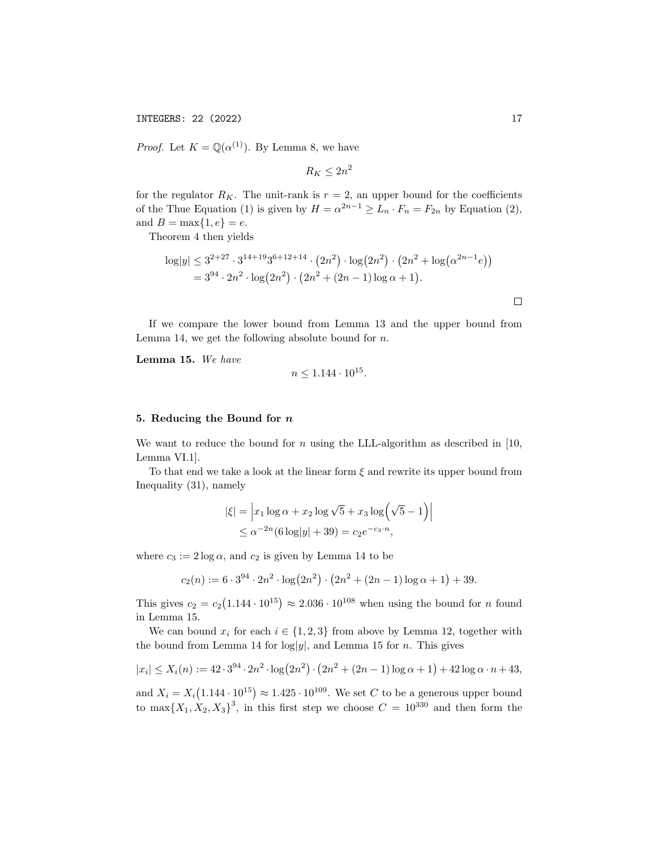*Proof.* Let  $K = \mathbb{Q}(\alpha^{(1)})$ . By Lemma 8, we have

$$
R_K \le 2n^2
$$

for the regulator  $R_K$ . The unit-rank is  $r = 2$ , an upper bound for the coefficients of the Thue Equation (1) is given by  $H = \alpha^{2n-1} \ge L_n \cdot F_n = F_{2n}$  by Equation (2), and  $B = \max\{1, e\} = e$ .

Theorem 4 then yields

$$
\log|y| \le 3^{2+27} \cdot 3^{14+19} 3^{6+12+14} \cdot (2n^2) \cdot \log(2n^2) \cdot (2n^2 + \log(\alpha^{2n-1}e))
$$
  
=  $3^{94} \cdot 2n^2 \cdot \log(2n^2) \cdot (2n^2 + (2n - 1) \log \alpha + 1).$ 

If we compare the lower bound from Lemma 13 and the upper bound from Lemma 14, we get the following absolute bound for  $n$ .

Lemma 15. We have

$$
n \le 1.144 \cdot 10^{15}.
$$

### 5. Reducing the Bound for n

We want to reduce the bound for n using the LLL-algorithm as described in  $[10,$ Lemma VI.1].

To that end we take a look at the linear form  $\xi$  and rewrite its upper bound from Inequality (31), namely

$$
|\xi| = \left| x_1 \log \alpha + x_2 \log \sqrt{5} + x_3 \log \left( \sqrt{5} - 1 \right) \right|
$$
  
 
$$
\leq \alpha^{-2n} (6 \log |y| + 39) = c_2 e^{-c_3 \cdot n},
$$

where  $c_3 := 2 \log \alpha$ , and  $c_2$  is given by Lemma 14 to be

$$
c_2(n) := 6 \cdot 3^{94} \cdot 2n^2 \cdot \log(2n^2) \cdot (2n^2 + (2n - 1) \log \alpha + 1) + 39.
$$

This gives  $c_2 = c_2(1.144 \cdot 10^{15}) \approx 2.036 \cdot 10^{108}$  when using the bound for *n* found in Lemma 15.

We can bound  $x_i$  for each  $i \in \{1,2,3\}$  from above by Lemma 12, together with the bound from Lemma 14 for  $log|y|$ , and Lemma 15 for *n*. This gives

$$
|x_i| \le X_i(n) := 42 \cdot 3^{94} \cdot 2n^2 \cdot \log(2n^2) \cdot (2n^2 + (2n - 1) \log \alpha + 1) + 42 \log \alpha \cdot n + 43,
$$

and  $X_i = X_i(1.144 \cdot 10^{15}) \approx 1.425 \cdot 10^{109}$ . We set C to be a generous upper bound to max $\{X_1, X_2, X_3\}^3$ , in this first step we choose  $C = 10^{330}$  and then form the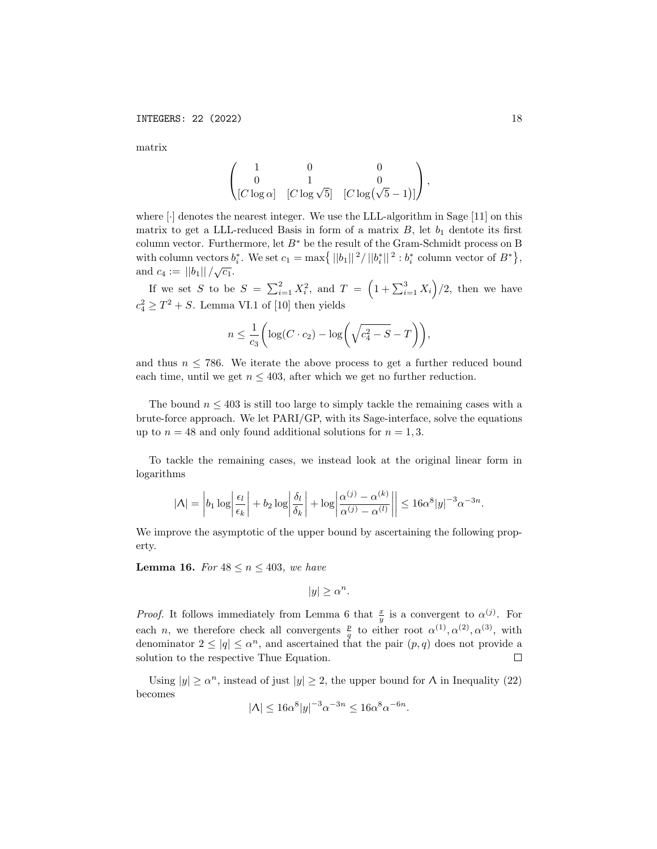matrix

$$
\begin{pmatrix} 1 & 0 & 0 \ 0 & 1 & 0 \ \begin{bmatrix} [C \log \alpha] & [C \log \sqrt{5}] & [C \log (\sqrt{5}-1)] \end{bmatrix}, \end{pmatrix}
$$

where [·] denotes the nearest integer. We use the LLL-algorithm in Sage [11] on this matrix to get a LLL-reduced Basis in form of a matrix  $B$ , let  $b_1$  dentote its first column vector. Furthermore, let  $B^\ast$  be the result of the Gram-Schmidt process on B with column vectors  $b_i^*$ . We set  $c_1 = \max\{|b_1||^2/||b_i^*||^2 : b_i^*$  column vector of  $B^*\}$ , and  $c_4 := ||b_1|| / \sqrt{c_1}$ .

If we set S to be  $S = \sum_{i=1}^{2} X_i^2$ , and  $T = \left(1 + \sum_{i=1}^{3} X_i\right)/2$ , then we have  $c_4^2 \geq T^2 + S$ . Lemma VI.1 of [10] then yields

$$
n \le \frac{1}{c_3} \bigg( \log(C \cdot c_2) - \log \bigg( \sqrt{c_4^2 - S} - T \bigg) \bigg),
$$

and thus  $n \leq 786$ . We iterate the above process to get a further reduced bound each time, until we get  $n \leq 403$ , after which we get no further reduction.

The bound  $n \leq 403$  is still too large to simply tackle the remaining cases with a brute-force approach. We let PARI/GP, with its Sage-interface, solve the equations up to  $n = 48$  and only found additional solutions for  $n = 1, 3$ .

To tackle the remaining cases, we instead look at the original linear form in logarithms

$$
|\Lambda| = \left| b_1 \log \left| \frac{\epsilon_l}{\epsilon_k} \right| + b_2 \log \left| \frac{\delta_l}{\delta_k} \right| + \log \left| \frac{\alpha^{(j)} - \alpha^{(k)}}{\alpha^{(j)} - \alpha^{(l)}} \right| \right| \le 16\alpha^8 |y|^{-3} \alpha^{-3n}.
$$

We improve the asymptotic of the upper bound by ascertaining the following property.

**Lemma 16.** For  $48 \le n \le 403$ , we have

 $|y| \geq \alpha^n$ .

*Proof.* It follows immediately from Lemma 6 that  $\frac{x}{y}$  is a convergent to  $\alpha^{(j)}$ . For each n, we therefore check all convergents  $\frac{p}{q}$  to either root  $\alpha^{(1)}, \alpha^{(2)}, \alpha^{(3)}$ , with denominator  $2 \leq |q| \leq \alpha^n$ , and ascertained that the pair  $(p, q)$  does not provide a solution to the respective Thue Equation.  $\Box$ 

Using  $|y| \ge \alpha^n$ , instead of just  $|y| \ge 2$ , the upper bound for  $\Lambda$  in Inequality (22) becomes

$$
|\Lambda| \le 16\alpha^8|y|^{-3}\alpha^{-3n} \le 16\alpha^8\alpha^{-6n}
$$

.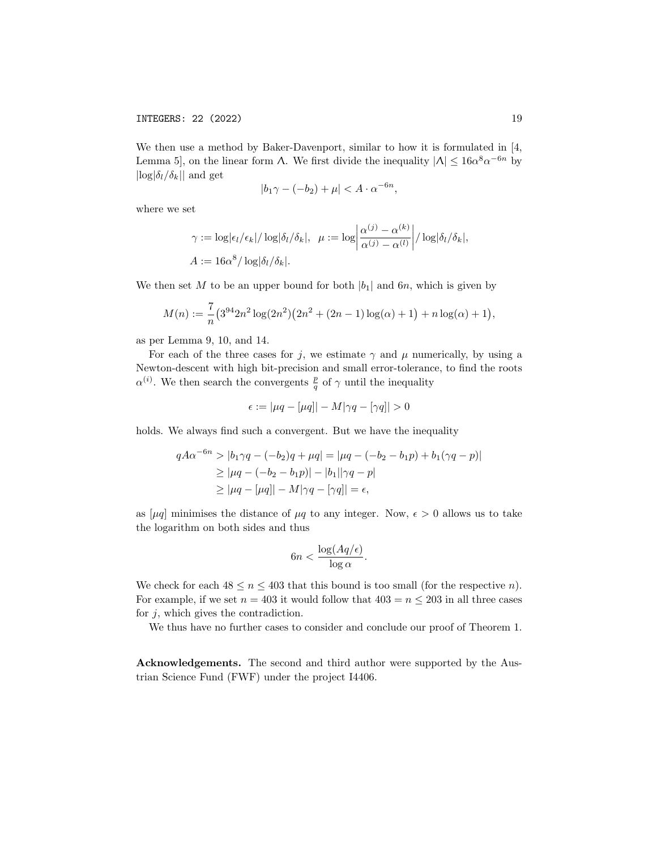We then use a method by Baker-Davenport, similar to how it is formulated in [4, Lemma 5, on the linear form  $\Lambda$ . We first divide the inequality  $|\Lambda| \leq 16\alpha^8 \alpha^{-6n}$  by  $|\log|\delta_l/\delta_k||$  and get

$$
|b_1\gamma - (-b_2) + \mu| < A \cdot \alpha^{-6n},
$$

where we set

$$
\gamma := \log |\epsilon_l/\epsilon_k| / \log |\delta_l/\delta_k|, \quad \mu := \log \left| \frac{\alpha^{(j)} - \alpha^{(k)}}{\alpha^{(j)} - \alpha^{(l)}} \right| / \log |\delta_l/\delta_k|,
$$

$$
A := 16\alpha^8 / \log |\delta_l/\delta_k|.
$$

We then set M to be an upper bound for both  $|b_1|$  and 6n, which is given by

$$
M(n) := \frac{7}{n} (3^{94} 2n^2 \log(2n^2) (2n^2 + (2n - 1) \log(\alpha) + 1) + n \log(\alpha) + 1),
$$

as per Lemma 9, 10, and 14.

For each of the three cases for j, we estimate  $\gamma$  and  $\mu$  numerically, by using a Newton-descent with high bit-precision and small error-tolerance, to find the roots  $\alpha^{(i)}$ . We then search the convergents  $\frac{p}{q}$  of  $\gamma$  until the inequality

$$
\epsilon := |\mu q - [\mu q]| - M|\gamma q - [\gamma q]| > 0
$$

holds. We always find such a convergent. But we have the inequality

$$
qA\alpha^{-6n} > |b_1\gamma q - (-b_2)q + \mu q| = |\mu q - (-b_2 - b_1p) + b_1(\gamma q - p)|
$$
  
\n
$$
\geq |\mu q - (-b_2 - b_1p)| - |b_1||\gamma q - p|
$$
  
\n
$$
\geq |\mu q - [\mu q]| - M|\gamma q - [\gamma q]| = \epsilon,
$$

as  $[\mu q]$  minimises the distance of  $\mu q$  to any integer. Now,  $\epsilon > 0$  allows us to take the logarithm on both sides and thus

$$
6n < \frac{\log(Aq/\epsilon)}{\log \alpha}.
$$

We check for each  $48 \le n \le 403$  that this bound is too small (for the respective *n*). For example, if we set  $n = 403$  it would follow that  $403 = n \leq 203$  in all three cases for  $j$ , which gives the contradiction.

We thus have no further cases to consider and conclude our proof of Theorem 1.

Acknowledgements. The second and third author were supported by the Austrian Science Fund (FWF) under the project I4406.